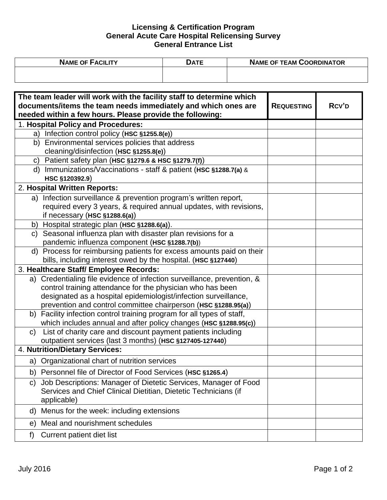## **Licensing & Certification Program General Acute Care Hospital Relicensing Survey General Entrance List**

| <b>NAME OF FACILITY</b> | )ATE | <b>NAME OF TEAM COORDINATOR</b> |  |
|-------------------------|------|---------------------------------|--|
|                         |      |                                 |  |
|                         |      |                                 |  |

| The team leader will work with the facility staff to determine which                       |                   |       |
|--------------------------------------------------------------------------------------------|-------------------|-------|
| documents/items the team needs immediately and which ones are                              | <b>REQUESTING</b> | RCV'D |
| needed within a few hours. Please provide the following:                                   |                   |       |
| 1. Hospital Policy and Procedures:                                                         |                   |       |
| Infection control policy (HSC §1255.8(e))<br>a)                                            |                   |       |
| b) Environmental services policies that address                                            |                   |       |
| cleaning/disinfection (HSC §1255.8(e))                                                     |                   |       |
| c) Patient safety plan (HSC $$1279.6$ & HSC $$1279.7(f)$ )                                 |                   |       |
| d) Immunizations/Vaccinations - staff & patient (HSC §1288.7(a) &                          |                   |       |
| HSC §120392.9)                                                                             |                   |       |
| 2. Hospital Written Reports:                                                               |                   |       |
| a) Infection surveillance & prevention program's written report,                           |                   |       |
| required every 3 years, & required annual updates, with revisions,                         |                   |       |
| if necessary (HSC §1288.6(a))                                                              |                   |       |
| b) Hospital strategic plan (HSC §1288.6(a)).                                               |                   |       |
| c) Seasonal influenza plan with disaster plan revisions for a                              |                   |       |
| pandemic influenza component (HSC §1288.7(b))                                              |                   |       |
| d) Process for reimbursing patients for excess amounts paid on their                       |                   |       |
| bills, including interest owed by the hospital. (HSC §127440)                              |                   |       |
| 3. Healthcare Staff/ Employee Records:                                                     |                   |       |
| a) Credentialing file evidence of infection surveillance, prevention, &                    |                   |       |
| control training attendance for the physician who has been                                 |                   |       |
| designated as a hospital epidemiologist/infection surveillance,                            |                   |       |
| prevention and control committee chairperson (HSC §1288.95(a))                             |                   |       |
| Facility infection control training program for all types of staff,<br>b)                  |                   |       |
| which includes annual and after policy changes (HSC §1288.95(c))                           |                   |       |
| List of charity care and discount payment patients including<br>C)                         |                   |       |
| outpatient services (last 3 months) (HSC §127405-127440)<br>4. Nutrition/Dietary Services: |                   |       |
|                                                                                            |                   |       |
| a) Organizational chart of nutrition services                                              |                   |       |
| b) Personnel file of Director of Food Services (HSC §1265.4)                               |                   |       |
| Job Descriptions: Manager of Dietetic Services, Manager of Food<br>C)                      |                   |       |
| Services and Chief Clinical Dietitian, Dietetic Technicians (if                            |                   |       |
| applicable)                                                                                |                   |       |
| Menus for the week: including extensions<br>d)                                             |                   |       |
| Meal and nourishment schedules<br>e)                                                       |                   |       |
| Current patient diet list<br>f)                                                            |                   |       |